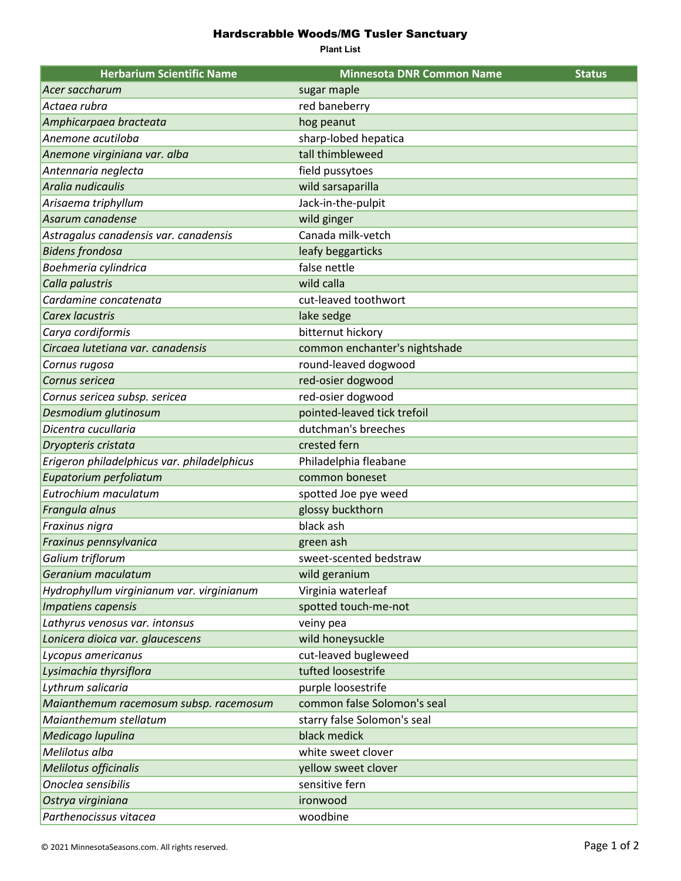## Hardscrabble Woods/MG Tusler Sanctuary

**Plant List**

| <b>Herbarium Scientific Name</b>            | <b>Minnesota DNR Common Name</b> | <b>Status</b> |
|---------------------------------------------|----------------------------------|---------------|
| Acer saccharum                              | sugar maple                      |               |
| Actaea rubra                                | red baneberry                    |               |
| Amphicarpaea bracteata                      | hog peanut                       |               |
| Anemone acutiloba                           | sharp-lobed hepatica             |               |
| Anemone virginiana var. alba                | tall thimbleweed                 |               |
| Antennaria neglecta                         | field pussytoes                  |               |
| Aralia nudicaulis                           | wild sarsaparilla                |               |
| Arisaema triphyllum                         | Jack-in-the-pulpit               |               |
| Asarum canadense                            | wild ginger                      |               |
| Astragalus canadensis var. canadensis       | Canada milk-vetch                |               |
| <b>Bidens frondosa</b>                      | leafy beggarticks                |               |
| Boehmeria cylindrica                        | false nettle                     |               |
| Calla palustris                             | wild calla                       |               |
| Cardamine concatenata                       | cut-leaved toothwort             |               |
| <b>Carex lacustris</b>                      | lake sedge                       |               |
| Carya cordiformis                           | bitternut hickory                |               |
| Circaea lutetiana var. canadensis           | common enchanter's nightshade    |               |
| Cornus rugosa                               | round-leaved dogwood             |               |
| Cornus sericea                              | red-osier dogwood                |               |
| Cornus sericea subsp. sericea               | red-osier dogwood                |               |
| Desmodium glutinosum                        | pointed-leaved tick trefoil      |               |
| Dicentra cucullaria                         | dutchman's breeches              |               |
| Dryopteris cristata                         | crested fern                     |               |
| Erigeron philadelphicus var. philadelphicus | Philadelphia fleabane            |               |
| Eupatorium perfoliatum                      | common boneset                   |               |
| Eutrochium maculatum                        | spotted Joe pye weed             |               |
| Frangula alnus                              | glossy buckthorn                 |               |
| Fraxinus nigra                              | black ash                        |               |
| Fraxinus pennsylvanica                      | green ash                        |               |
| Galium triflorum                            | sweet-scented bedstraw           |               |
| Geranium maculatum                          | wild geranium                    |               |
| Hydrophyllum virginianum var. virginianum   | Virginia waterleaf               |               |
| <b>Impatiens capensis</b>                   | spotted touch-me-not             |               |
| Lathyrus venosus var. intonsus              | veiny pea                        |               |
| Lonicera dioica var. glaucescens            | wild honeysuckle                 |               |
| Lycopus americanus                          | cut-leaved bugleweed             |               |
| Lysimachia thyrsiflora                      | tufted loosestrife               |               |
| Lythrum salicaria                           | purple loosestrife               |               |
| Maianthemum racemosum subsp. racemosum      | common false Solomon's seal      |               |
| Maianthemum stellatum                       | starry false Solomon's seal      |               |
| Medicago lupulina                           | black medick                     |               |
| Melilotus alba                              | white sweet clover               |               |
| Melilotus officinalis                       | yellow sweet clover              |               |
| Onoclea sensibilis                          | sensitive fern                   |               |
| Ostrya virginiana                           | ironwood                         |               |
| Parthenocissus vitacea                      | woodbine                         |               |